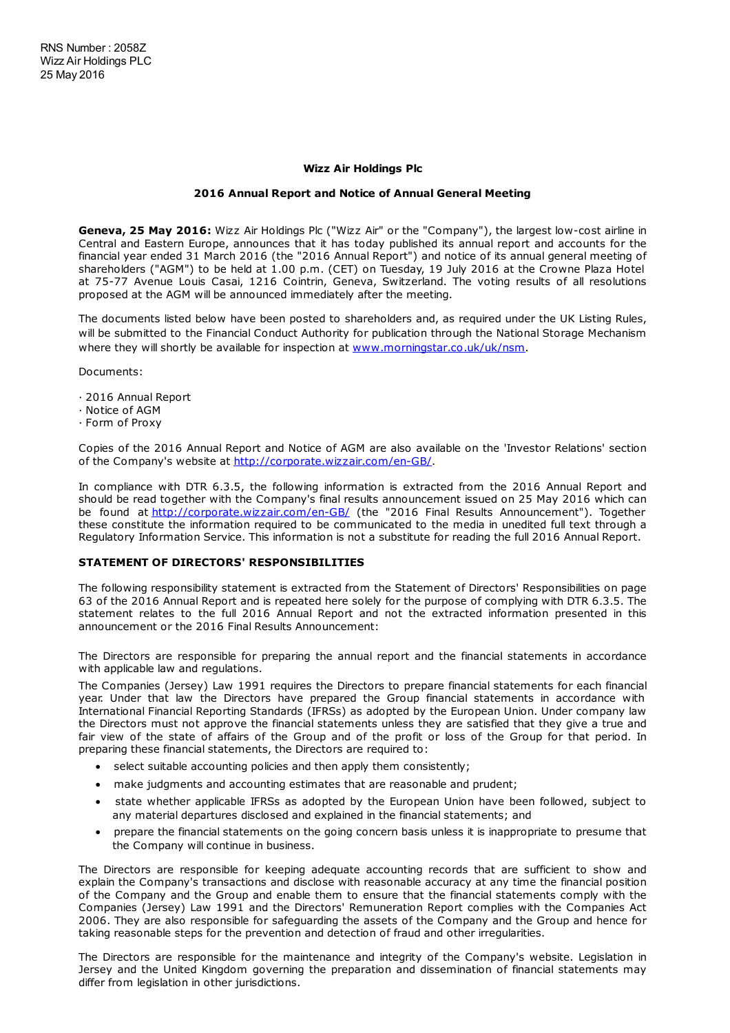### Wizz Air Holdings Plc

### 2016 Annual Report and Notice of Annual General Meeting

Geneva, 25 May 2016: Wizz Air Holdings Plc ("Wizz Air" or the "Company"), the largest low-cost airline in Central and Eastern Europe, announces that it has today published its annual report and accounts for the financial year ended 31 March 2016 (the "2016 Annual Report") and notice of its annual general meeting of shareholders ("AGM") to be held at 1.00 p.m. (CET) on Tuesday, 19 July 2016 at the Crowne Plaza Hotel at 75-77 Avenue Louis Casai, 1216 Cointrin, Geneva, Switzerland. The voting results of all resolutions proposed at the AGM will be announced immediately after the meeting.

The documents listed below have been posted to shareholders and, as required under the UK Listing Rules, will be submitted to the Financial Conduct Authority for publication through the National Storage Mechanism where they will shortly be available for inspection at [www.morningstar.co.uk/uk/nsm](http://www.morningstar.co.uk/uk/nsm).

Documents:

- · 2016 Annual Report
- · Notice of AGM
- · Form of Proxy

Copies of the 2016 Annual Report and Notice of AGM are also available on the 'Investor Relations' section of the Company's website at <http://corporate.wizzair.com/en-GB/>.

In compliance with DTR 6.3.5, the following information is extracted from the 2016 Annual Report and should be read together with the Company's final results announcement issued on 25 May 2016 which can be found at <http://corporate.wizzair.com/en-GB/> (the "2016 Final Results Announcement"). Together these constitute the information required to be communicated to the media in unedited full text through a Regulatory Information Service. This information is not a substitute for reading the full 2016 Annual Report.

# STATEMENT OF DIRECTORS' RESPONSIBILITIES

The following responsibility statement is extracted from the Statement of Directors' Responsibilities on page 63 of the 2016 Annual Report and is repeated here solely for the purpose of complying with DTR 6.3.5. The statement relates to the full 2016 Annual Report and not the extracted information presented in this announcement or the 2016 Final Results Announcement:

The Directors are responsible for preparing the annual report and the financial statements in accordance with applicable law and regulations.

The Companies (Jersey) Law 1991 requires the Directors to prepare financial statements for each financial year. Under that law the Directors have prepared the Group financial statements in accordance with International Financial Reporting Standards (IFRSs) as adopted by the European Union. Under company law the Directors must not approve the financial statements unless they are satisfied that they give a true and fair view of the state of affairs of the Group and of the profit or loss of the Group for that period. In preparing these financial statements, the Directors are required to:

- select suitable accounting policies and then apply them consistently;
- · make judgments and accounting estimates that are reasonable and prudent;
- · state whether applicable IFRSs as adopted by the European Union have been followed, subject to any material departures disclosed and explained in the financial statements; and
- · prepare the financial statements on the going concern basis unless it is inappropriate to presume that the Company will continue in business.

The Directors are responsible for keeping adequate accounting records that are sufficient to show and explain the Company's transactions and disclose with reasonable accuracy at any time the financial position of the Company and the Group and enable them to ensure that the financial statements comply with the Companies (Jersey) Law 1991 and the Directors' Remuneration Report complies with the Companies Act 2006. They are also responsible for safeguarding the assets of the Company and the Group and hence for taking reasonable steps for the prevention and detection of fraud and other irregularities.

The Directors are responsible for the maintenance and integrity of the Company's website. Legislation in Jersey and the United Kingdom governing the preparation and dissemination of financial statements may differ from legislation in other jurisdictions.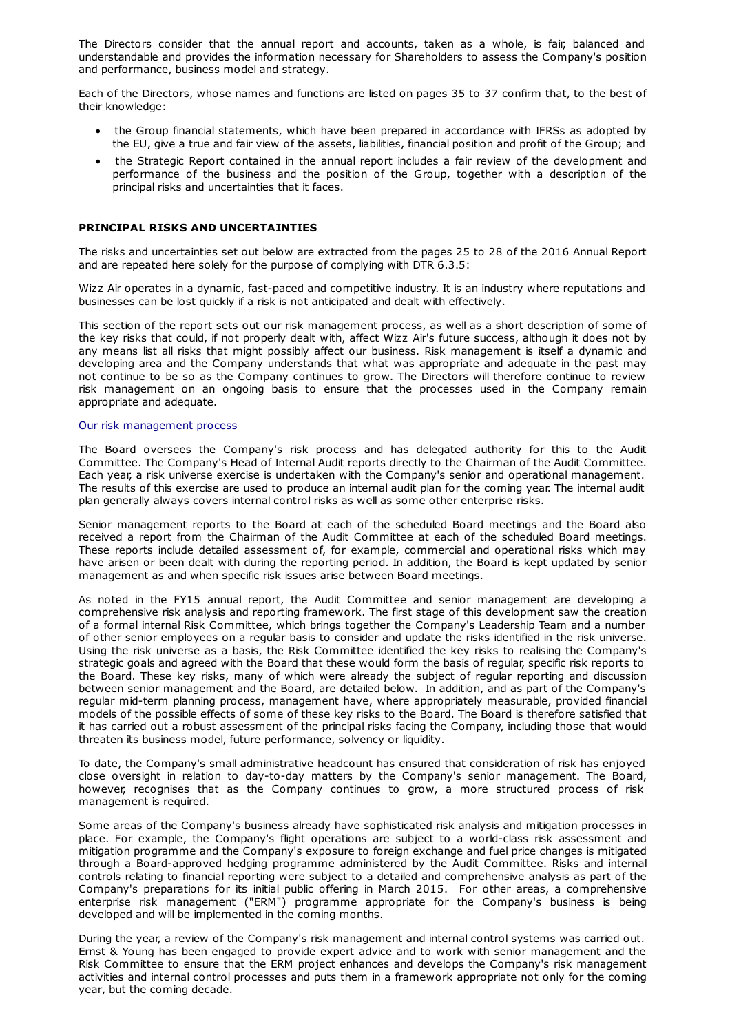The Directors consider that the annual report and accounts, taken as a whole, is fair, balanced and understandable and provides the information necessary for Shareholders to assess the Company's position and performance, business model and strategy.

Each of the Directors, whose names and functions are listed on pages 35 to 37 confirm that, to the best of their knowledge:

- · the Group financial statements, which have been prepared in accordance with IFRSs as adopted by the EU, give a true and fair view of the assets, liabilities, financial position and profit of the Group; and
- the Strategic Report contained in the annual report includes a fair review of the development and performance of the business and the position of the Group, together with a description of the principal risks and uncertainties that it faces.

## PRINCIPAL RISKS AND UNCERTAINTIES

The risks and uncertainties set out below are extracted from the pages 25 to 28 of the 2016 Annual Report and are repeated here solely for the purpose of complying with DTR 6.3.5:

Wizz Air operates in a dynamic, fast-paced and competitive industry. It is an industry where reputations and businesses can be lost quickly if a risk is not anticipated and dealt with effectively.

This section of the report sets out our risk management process, as well as a short description of some of the key risks that could, if not properly dealt with, affect Wizz Air's future success, although it does not by any means list all risks that might possibly affect our business. Risk management is itself a dynamic and developing area and the Company understands that what was appropriate and adequate in the past may not continue to be so as the Company continues to grow. The Directors will therefore continue to review risk management on an ongoing basis to ensure that the processes used in the Company remain appropriate and adequate.

#### Our risk management process

The Board oversees the Company's risk process and has delegated authority for this to the Audit Committee. The Company's Head of Internal Audit reports directly to the Chairman of the Audit Committee. Each year, a risk universe exercise is undertaken with the Company's senior and operational management. The results of this exercise are used to produce an internal audit plan for the coming year. The internal audit plan generally always covers internal control risks as well as some other enterprise risks.

Senior management reports to the Board at each of the scheduled Board meetings and the Board also received a report from the Chairman of the Audit Committee at each of the scheduled Board meetings. These reports include detailed assessment of, for example, commercial and operational risks which may have arisen or been dealt with during the reporting period. In addition, the Board is kept updated by senior management as and when specific risk issues arise between Board meetings.

As noted in the FY15 annual report, the Audit Committee and senior management are developing a comprehensive risk analysis and reporting framework. The first stage of this development saw the creation of a formal internal Risk Committee, which brings together the Company's Leadership Team and a number of other senior employees on a regular basis to consider and update the risks identified in the risk universe. Using the risk universe as a basis, the Risk Committee identified the key risks to realising the Company's strategic goals and agreed with the Board that these would form the basis of regular, specific risk reports to the Board. These key risks, many of which were already the subject of regular reporting and discussion between senior management and the Board, are detailed below. In addition, and as part of the Company's regular mid-term planning process, management have, where appropriately measurable, provided financial models of the possible effects of some of these key risks to the Board. The Board is therefore satisfied that it has carried out a robust assessment of the principal risks facing the Company, including those that would threaten its business model, future performance, solvency or liquidity.

To date, the Company's small administrative headcount has ensured that consideration of risk has enjoyed close oversight in relation to day-to-day matters by the Company's senior management. The Board, however, recognises that as the Company continues to grow, a more structured process of risk management is required.

Some areas of the Company's business already have sophisticated risk analysis and mitigation processes in place. For example, the Company's flight operations are subject to a world-class risk assessment and mitigation programme and the Company's exposure to foreign exchange and fuel price changes is mitigated through a Board-approved hedging programme administered by the Audit Committee. Risks and internal controls relating to financial reporting were subject to a detailed and comprehensive analysis as part of the Company's preparations for its initial public offering in March 2015. For other areas, a comprehensive enterprise risk management ("ERM") programme appropriate for the Company's business is being developed and will be implemented in the coming months.

During the year, a review of the Company's risk management and internal control systems was carried out. Ernst & Young has been engaged to provide expert advice and to work with senior management and the Risk Committee to ensure that the ERM project enhances and develops the Company's risk management activities and internal control processes and puts them in a framework appropriate not only for the coming year, but the coming decade.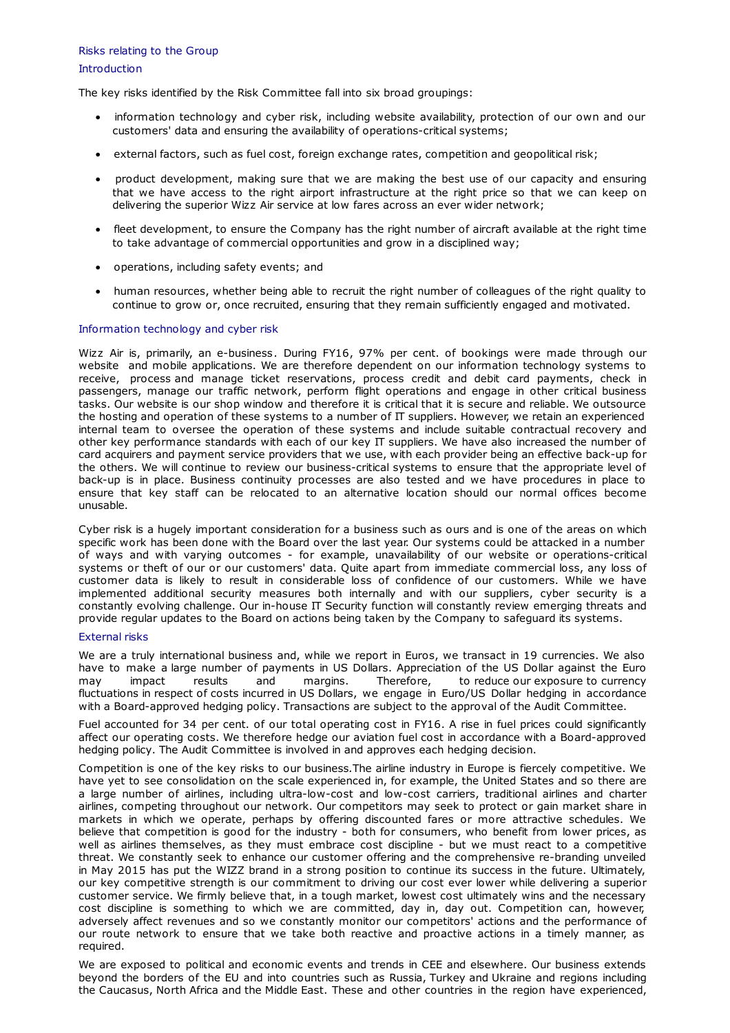# Risks relating to the Group **Introduction**

The key risks identified by the Risk Committee fall into six broad groupings:

- · information technology and cyber risk, including website availability, protection of our own and our customers' data and ensuring the availability of operations-critical systems;
- external factors, such as fuel cost, foreign exchange rates, competition and geopolitical risk;
- · product development, making sure that we are making the best use of our capacity and ensuring that we have access to the right airport infrastructure at the right price so that we can keep on delivering the superior Wizz Air service at low fares across an ever wider network;
- · fleet development, to ensure the Company has the right number of aircraft available at the right time to take advantage of commercial opportunities and grow in a disciplined way;
- · operations, including safety events; and
- · human resources, whether being able to recruit the right number of colleagues of the right quality to continue to grow or, once recruited, ensuring that they remain sufficiently engaged and motivated.

# Information technology and cyber risk

Wizz Air is, primarily, an e-business. During FY16, 97% per cent. of bookings were made through our website and mobile applications. We are therefore dependent on our information technology systems to receive, process and manage ticket reservations, process credit and debit card payments, check in passengers, manage our traffic network, perform flight operations and engage in other critical business tasks. Our website is our shop window and therefore it is critical that it is secure and reliable. We outsource the hosting and operation of these systems to a number of IT suppliers. However, we retain an experienced internal team to oversee the operation of these systems and include suitable contractual recovery and other key performance standards with each of our key IT suppliers. We have also increased the number of card acquirers and payment service providers that we use, with each provider being an effective back-up for the others. We will continue to review our business-critical systems to ensure that the appropriate level of back-up is in place. Business continuity processes are also tested and we have procedures in place to ensure that key staff can be relocated to an alternative location should our normal offices become unusable.

Cyber risk is a hugely important consideration for a business such as ours and is one of the areas on which specific work has been done with the Board over the last year. Our systems could be attacked in a number of ways and with varying outcomes - for example, unavailability of our website or operations-critical systems or theft of our or our customers' data. Quite apart from immediate commercial loss, any loss of customer data is likely to result in considerable loss of confidence of our customers. While we have implemented additional security measures both internally and with our suppliers, cyber security is a constantly evolving challenge. Our in-house IT Security function will constantly review emerging threats and provide regular updates to the Board on actions being taken by the Company to safeguard its systems.

## External risks

We are a truly international business and, while we report in Euros, we transact in 19 currencies. We also have to make a large number of payments in US Dollars. Appreciation of the US Dollar against the Euro may impact results and margins. Therefore, to reduce our exposure to currency fluctuations in respect of costs incurred in US Dollars, we engage in Euro/US Dollar hedging in accordance with a Board-approved hedging policy. Transactions are subject to the approval of the Audit Committee.

Fuel accounted for 34 per cent. of our total operating cost in FY16. A rise in fuel prices could significantly affect our operating costs. We therefore hedge our aviation fuel cost in accordance with a Board-approved hedging policy. The Audit Committee is involved in and approves each hedging decision.

Competition is one of the key risks to our business.The airline industry in Europe is fiercely competitive. We have yet to see consolidation on the scale experienced in, for example, the United States and so there are a large number of airlines, including ultra-low-cost and low-cost carriers, traditional airlines and charter airlines, competing throughout our network. Our competitors may seek to protect or gain market share in markets in which we operate, perhaps by offering discounted fares or more attractive schedules. We believe that competition is good for the industry - both for consumers, who benefit from lower prices, as well as airlines themselves, as they must embrace cost discipline - but we must react to a competitive threat. We constantly seek to enhance our customer offering and the comprehensive re-branding unveiled in May 2015 has put the WIZZ brand in a strong position to continue its success in the future. Ultimately, our key competitive strength is our commitment to driving our cost ever lower while delivering a superior customer service. We firmly believe that, in a tough market, lowest cost ultimately wins and the necessary cost discipline is something to which we are committed, day in, day out. Competition can, however, adversely affect revenues and so we constantly monitor our competitors' actions and the performance of our route network to ensure that we take both reactive and proactive actions in a timely manner, as required.

We are exposed to political and economic events and trends in CEE and elsewhere. Our business extends beyond the borders of the EU and into countries such as Russia, Turkey and Ukraine and regions including the Caucasus, North Africa and the Middle East. These and other countries in the region have experienced,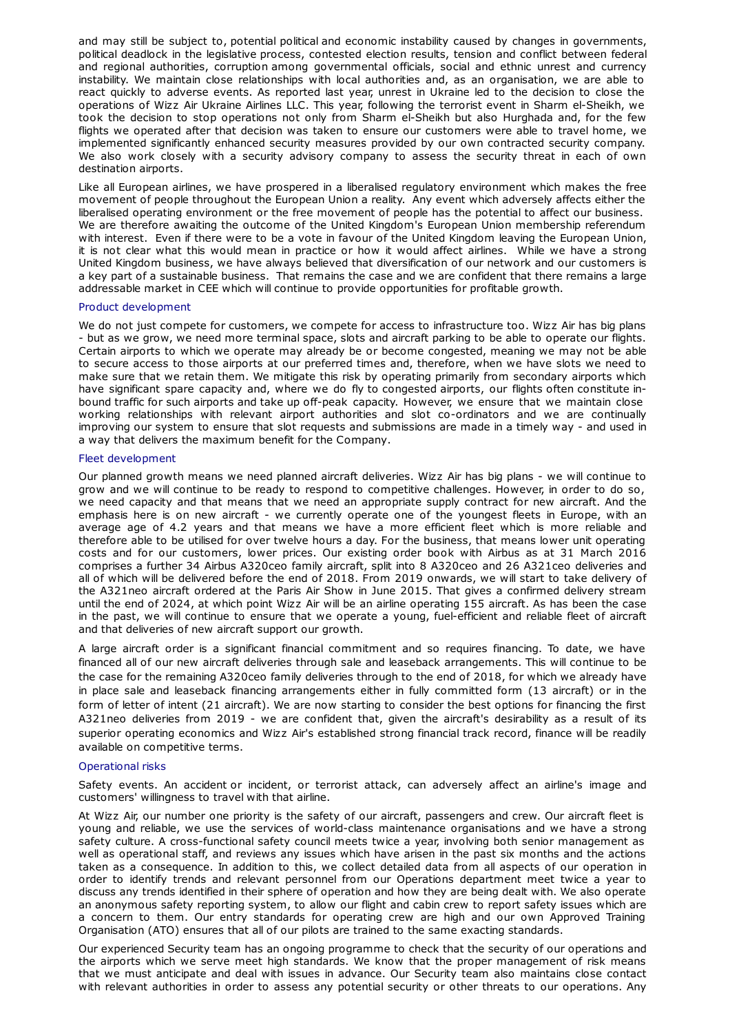and may still be subject to, potential political and economic instability caused by changes in governments, political deadlock in the legislative process, contested election results, tension and conflict between federal and regional authorities, corruption among governmental officials, social and ethnic unrest and currency instability. We maintain close relationships with local authorities and, as an organisation, we are able to react quickly to adverse events. As reported last year, unrest in Ukraine led to the decision to close the operations of Wizz Air Ukraine Airlines LLC. This year, following the terrorist event in Sharm el-Sheikh, we took the decision to stop operations not only from Sharm el-Sheikh but also Hurghada and, for the few flights we operated after that decision was taken to ensure our customers were able to travel home, we implemented significantly enhanced security measures provided by our own contracted security company. We also work closely with <sup>a</sup> security advisory company to assess the security threat in each of own destination airports.

Like all European airlines, we have prospered in a liberalised regulatory environment which makes the free movement of people throughout the European Union a reality. Any event which adversely affects either the liberalised operating environment or the free movement of people has the potential to affect our business.<br>We are therefore awaiting the outcome of the United Kingdom's European Union membership referendum with interest. Even if there were to be a vote in favour of the United Kingdom leaving the European Union, it is not clear what this would mean in practice or how it would affect airlines. While we have a strong United Kingdom business, we have always believed that diversification of our network and our customers is a key part of a sustainable business. That remains the case and we are confident that there remains a large addressable market in CEE which will continue to provide opportunities for profitable growth.

### Product development

We do not just compete for customers, we compete for access to infrastructure too. Wizz Air has big plans - but as we grow, we need more terminal space, slots and aircraft parking to be able to operate our flights. Certain airports to which we operate may already be or become congested, meaning we may not be able to secure access to those airports at our preferred times and, therefore, when we have slots we need to make sure that we retain them. We mitigate this risk by operating primarily from secondary airports which have significant spare capacity and, where we do fly to congested airports, our flights often constitute inbound traffic for such airports and take up off-peak capacity. However, we ensure that we maintain close working relationships with relevant airport authorities and slot co-ordinators and we are continually improving our system to ensure that slot requests and submissions are made in a timely way - and used in a way that delivers the maximum benefit for the Company.

### Fleet development

Our planned growth means we need planned aircraft deliveries. Wizz Air has big plans - we will continue to grow and we will continue to be ready to respond to competitive challenges. However, in order to do so, we need capacity and that means that we need an appropriate supply contract for new aircraft. And the emphasis here is on new aircraft - we currently operate one of the youngest fleets in Europe, with an average age of 4.2 years and that means we have a more efficient fleet which is more reliable and therefore able to be utilised for over twelve hours a day. For the business, that means lower unit operating costs and for our customers, lower prices. Our existing order book with Airbus as at 31 March 2016 comprises a further 34 Airbus A320ceo family aircraft, split into 8 A320ceo and 26 A321ceo deliveries and all of which will be delivered before the end of 2018. From 2019 onwards, we will start to take delivery of the A321neo aircraft ordered at the Paris Air Show in June 2015. That gives a confirmed delivery stream until the end of 2024, at which point Wizz Air will be an airline operating 155 aircraft. As has been the case in the past, we will continue to ensure that we operate a young, fuel-efficient and reliable fleet of aircraft and that deliveries of new aircraft support our growth.

A large aircraft order is a significant financial commitment and so requires financing. To date, we have financed all of our new aircraft deliveries through sale and leaseback arrangements. This will continue to be the case for the remaining A320ceo family deliveries through to the end of 2018, for which we already have in place sale and leaseback financing arrangements either in fully committed form (13 aircraft) or in the form of letter of intent (21 aircraft). We are now starting to consider the best options for financing the first A321neo deliveries from 2019 - we are confident that, given the aircraft's desirability as a result of its superior operating economics and Wizz Air's established strong financial track record, finance will be readily available on competitive terms.

#### Operational risks

Safety events. An accident or incident, or terrorist attack, can adversely affect an airline's image and customers' willingness to travel with that airline.

At Wizz Air, our number one priority is the safety of our aircraft, passengers and crew. Our aircraft fleet is young and reliable, we use the services of world-class maintenance organisations and we have a strong safety culture. A cross-functional safety council meets twice a year, involving both senior management as well as operational staff, and reviews any issues which have arisen in the past six months and the actions taken as a consequence. In addition to this, we collect detailed data from all aspects of our operation in order to identify trends and relevant personnel from our Operations department meet twice a year to discuss any trends identified in their sphere of operation and how they are being dealt with. We also operate an anonymous safety reporting system, to allow our flight and cabin crew to report safety issues which are a concern to them. Our entry standards for operating crew are high and our own Approved Training Organisation (ATO) ensures that all of our pilots are trained to the same exacting standards.

Our experienced Security team has an ongoing programme to check that the security of our operations and the airports which we serve meet high standards. We know that the proper management of risk means that we must anticipate and deal with issues in advance. Our Security team also maintains close contact with relevant authorities in order to assess any potential security or other threats to our operations. Any